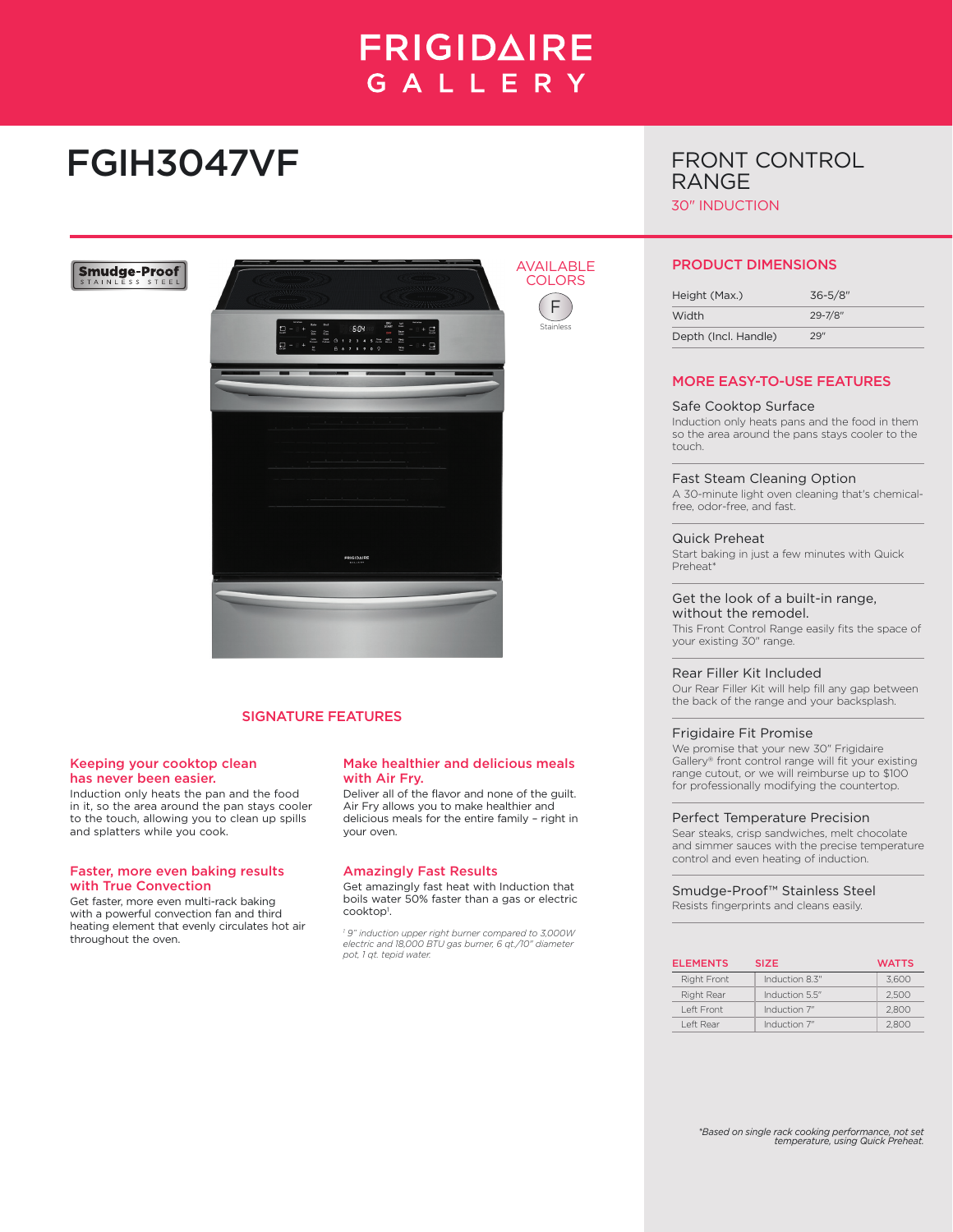## **FRIGIDAIRE** GALLERY

F

# FGIH3047VF

FRONT CONTROL RANGE 30" INDUCTION



#### SIGNATURE FEATURES

#### Keeping your cooktop clean has never been easier.

Induction only heats the pan and the food in it, so the area around the pan stays cooler to the touch, allowing you to clean up spills and splatters while you cook.

#### Faster, more even baking results with True Convection

Get faster, more even multi-rack baking with a powerful convection fan and third heating element that evenly circulates hot air throughout the oven.

#### Make healthier and delicious meals with Air Fry.

Deliver all of the flavor and none of the guilt. Air Fry allows you to make healthier and delicious meals for the entire family – right in your oven.

#### Amazingly Fast Results

Get amazingly fast heat with Induction that boils water 50% faster than a gas or electric cooktop1 .

*1 9" induction upper right burner compared to 3,000W electric and 18,000 BTU gas burner, 6 qt./10" diameter pot, 1 qt. tepid water.*

| Height (Max.)        | $36 - 5/8"$  |
|----------------------|--------------|
| Width                | $29 - 7/8$ " |
| Depth (Incl. Handle) | 29"          |

#### MORE EASY-TO-USE FEATURES

#### Safe Cooktop Surface

Induction only heats pans and the food in them so the area around the pans stays cooler to the touch.

#### Fast Steam Cleaning Option

A 30-minute light oven cleaning that's chemicalfree, odor-free, and fast.

#### Quick Preheat

Start baking in just a few minutes with Quick Preheat\*

#### Get the look of a built-in range,

without the remodel. This Front Control Range easily fits the space of your existing 30" range.

#### Rear Filler Kit Included

Our Rear Filler Kit will help fill any gap between the back of the range and your backsplash.

#### Frigidaire Fit Promise

We promise that your new 30" Frigidaire Gallery® front control range will fit your existing range cutout, or we will reimburse up to \$100 for professionally modifying the countertop.

#### Perfect Temperature Precision

Sear steaks, crisp sandwiches, melt chocolate and simmer sauces with the precise temperature control and even heating of induction.

#### Smudge-Proof™ Stainless Steel

Resists fingerprints and cleans easily.

| <b>ELEMENTS</b>    | <b>SIZE</b>    | <b>WATTS</b> |
|--------------------|----------------|--------------|
| <b>Right Front</b> | Induction 8.3" | 3.600        |
| Right Rear         | Induction 5.5" | 2.500        |
| I eft Front        | Induction 7"   | 2.800        |
| Left Rear          | Induction 7"   | 2.800        |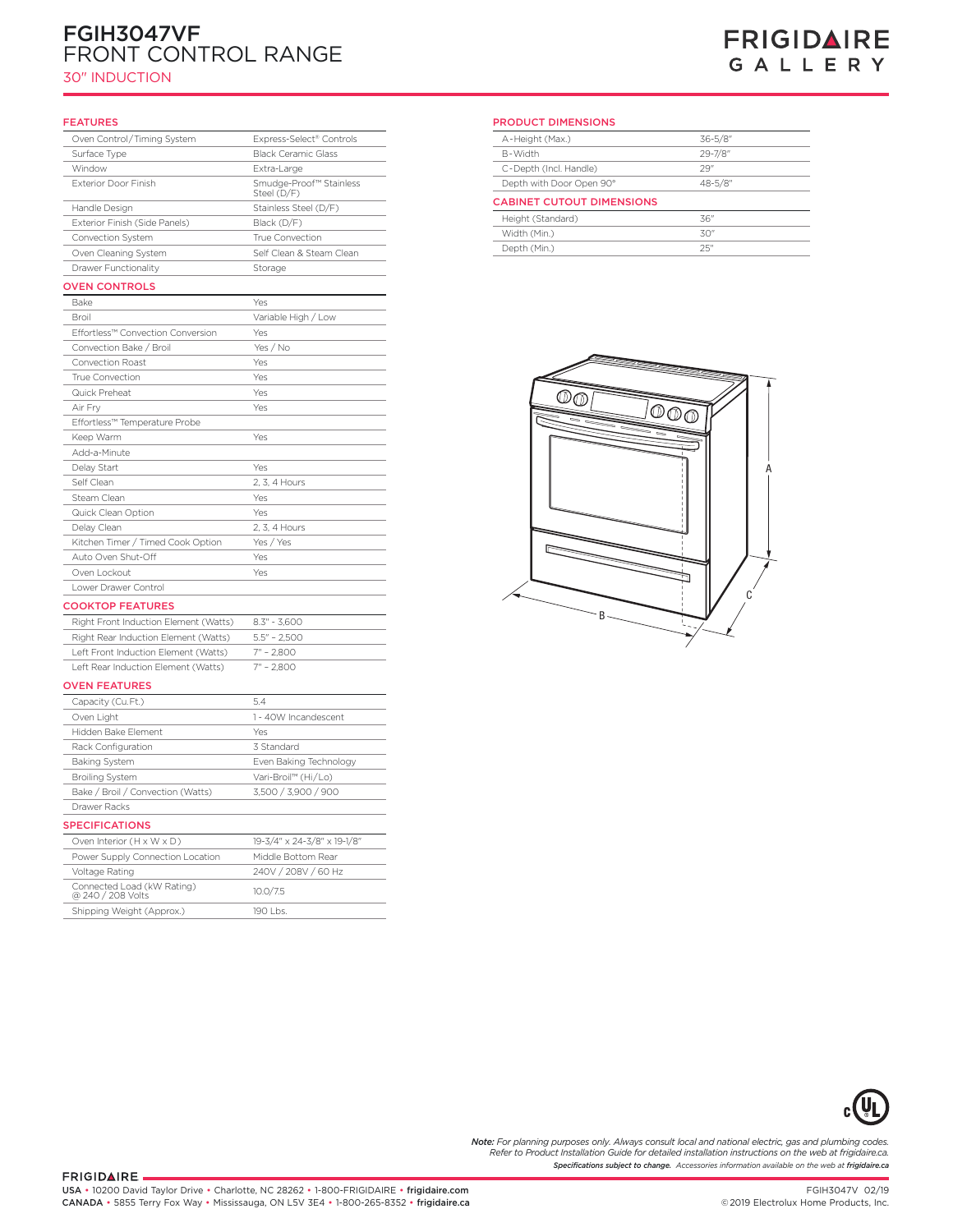## FGIH3047VF FRONT CONTROL RANGE

**Frigidaire Baseline**

### 30" INDUCTION

## **FRIGIDAIRE GALLERY**

#### FEATURES

| Oven Control/Timing System            | Express-Select® Controls               |
|---------------------------------------|----------------------------------------|
| Surface Type                          | <b>Black Ceramic Glass</b>             |
| Window                                | Extra-Large                            |
| <b>Exterior Door Finish</b>           | Smudge-Proof™ Stainless<br>Steel (D/F) |
| Handle Design                         | Stainless Steel (D/F)                  |
| Exterior Finish (Side Panels)         | Black (D/F)                            |
| Convection System                     | <b>True Convection</b>                 |
| Oven Cleaning System                  | Self Clean & Steam Clean               |
| Drawer Functionality                  | Storage                                |
| <b>OVEN CONTROLS</b>                  |                                        |
| Bake                                  | Yes                                    |
| Broil                                 | Variable High / Low                    |
| Effortless™ Convection Conversion     | Yes                                    |
| Convection Bake / Broil               | Yes / No                               |
| <b>Convection Roast</b>               | Yes                                    |
| True Convection                       | Yes                                    |
| Quick Preheat                         | Yes                                    |
| Air Fry                               | Yes                                    |
| Effortless™ Temperature Probe         |                                        |
| Keep Warm                             | Yes                                    |
| Add-a-Minute                          |                                        |
| Delay Start                           | Yes                                    |
| Self Clean                            | 2, 3, 4 Hours                          |
| Steam Clean                           | Yes                                    |
| Quick Clean Option                    | Yes                                    |
| Delay Clean                           | 2, 3, 4 Hours                          |
| Kitchen Timer / Timed Cook Option     | Yes / Yes                              |
| Auto Oven Shut-Off                    | Yes                                    |
| Oven Lockout                          | Yes                                    |
| Lower Drawer Control                  |                                        |
| <b>COOKTOP FEATURES</b>               |                                        |
| Right Front Induction Element (Watts) | $8.3'' - 3.600$                        |
| Right Rear Induction Element (Watts)  | $5.5" - 2,500$                         |
| Left Front Induction Element (Watts)  | 7" - 2,800                             |
| Left Rear Induction Element (Watts)   | 7" - 2.800                             |
| <b>OVEN FEATURES</b>                  |                                        |
| Capacity (Cu.Ft.)                     | 5.4                                    |
| Oven Light                            | 1 - 40W Incandescent                   |

Hidden Bake Element Yes Rack Configuration 3 Standard

Connected Load (kW Rating) @ 240 / 208 Volts 10.0/7.5 Shipping Weight (Approx.) 190 Lbs.

Baking System **Even Baking Technology** Broiling System Vari-Broil™ (Hi/Lo) Bake / Broil / Convection (Watts) 3,500 / 3,900 / 900

Oven Interior (H x W x D) 19-3/4" x 24-3/8" x 19-1/8" Power Supply Connection Location Middle Bottom Rear Voltage Rating 240V / 208V / 60 Hz

#### PRODUCT DIMENSIONS

| A-Height (Max.)                  | $36 - 5/8$ " |
|----------------------------------|--------------|
| B-Width                          | $29 - 7/8$ " |
| C-Depth (Incl. Handle)           | 29"          |
| Depth with Door Open 90°         | 48-5/8"      |
| <b>CABINET CUTOUT DIMENSIONS</b> |              |
| Height (Standard)                | 36"          |
| Width (Min.)                     | 30"          |
| Depth (Min.)                     | 25"          |





*Note: For planning purposes only. Always consult local and national electric, gas and plumbing codes. Refer to Product Installation Guide for detailed installation instructions on the web at frigidaire.ca. Specifications subject to change. Accessories information available on the web at frigidaire.ca*

Drawer Racks SPECIFICATIONS